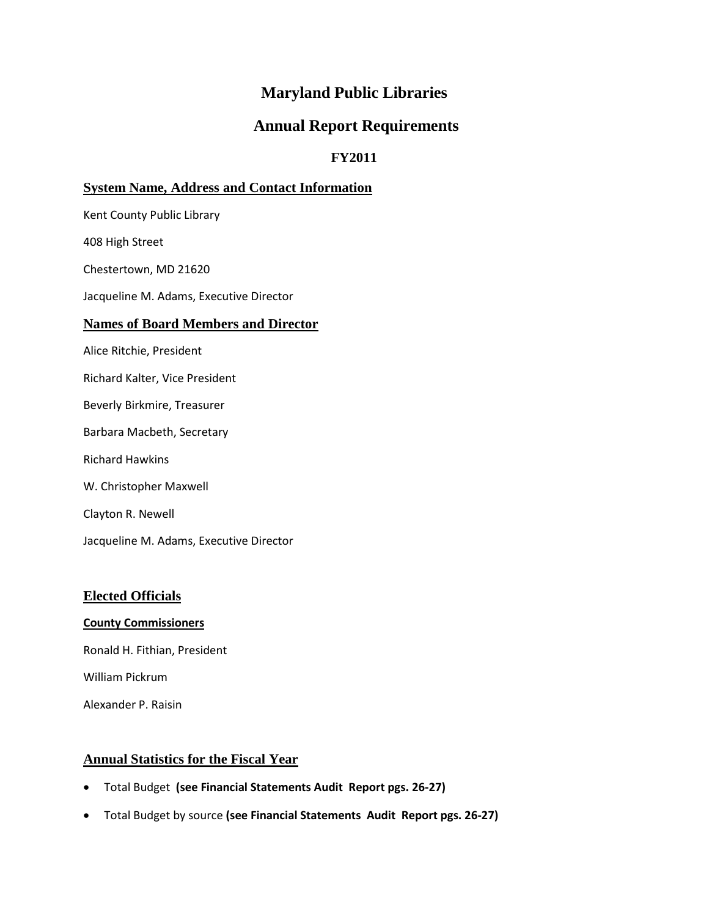# **Maryland Public Libraries**

# **Annual Report Requirements**

# **FY2011**

# **System Name, Address and Contact Information**

Kent County Public Library

408 High Street

Chestertown, MD 21620

Jacqueline M. Adams, Executive Director

#### **Names of Board Members and Director**

Alice Ritchie, President

- Richard Kalter, Vice President
- Beverly Birkmire, Treasurer
- Barbara Macbeth, Secretary
- Richard Hawkins
- W. Christopher Maxwell
- Clayton R. Newell
- Jacqueline M. Adams, Executive Director

#### **Elected Officials**

#### **County Commissioners**

Ronald H. Fithian, President

William Pickrum

Alexander P. Raisin

### **Annual Statistics for the Fiscal Year**

- Total Budget **(see Financial Statements Audit Report pgs. 26-27)**
- Total Budget by source **(see Financial Statements Audit Report pgs. 26-27)**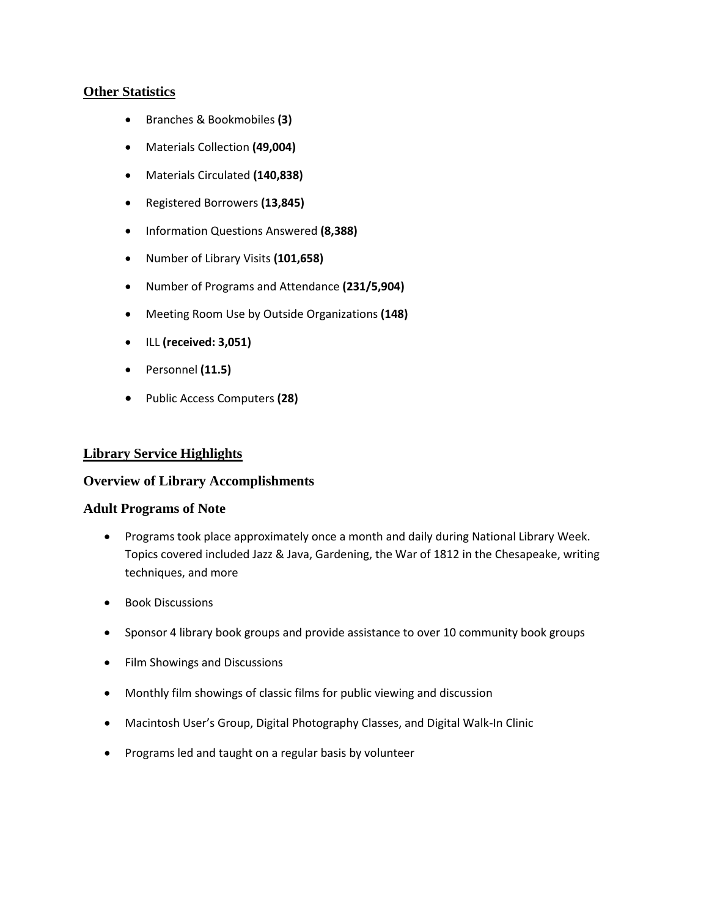#### **Other Statistics**

- Branches & Bookmobiles **(3)**
- Materials Collection **(49,004)**
- Materials Circulated **(140,838)**
- Registered Borrowers **(13,845)**
- Information Questions Answered **(8,388)**
- Number of Library Visits **(101,658)**
- Number of Programs and Attendance **(231/5,904)**
- Meeting Room Use by Outside Organizations **(148)**
- ILL **(received: 3,051)**
- Personnel **(11.5)**
- Public Access Computers **(28)**

## **Library Service Highlights**

#### **Overview of Library Accomplishments**

#### **Adult Programs of Note**

- Programs took place approximately once a month and daily during National Library Week. Topics covered included Jazz & Java, Gardening, the War of 1812 in the Chesapeake, writing techniques, and more
- Book Discussions
- Sponsor 4 library book groups and provide assistance to over 10 community book groups
- Film Showings and Discussions
- Monthly film showings of classic films for public viewing and discussion
- Macintosh User's Group, Digital Photography Classes, and Digital Walk-In Clinic
- Programs led and taught on a regular basis by volunteer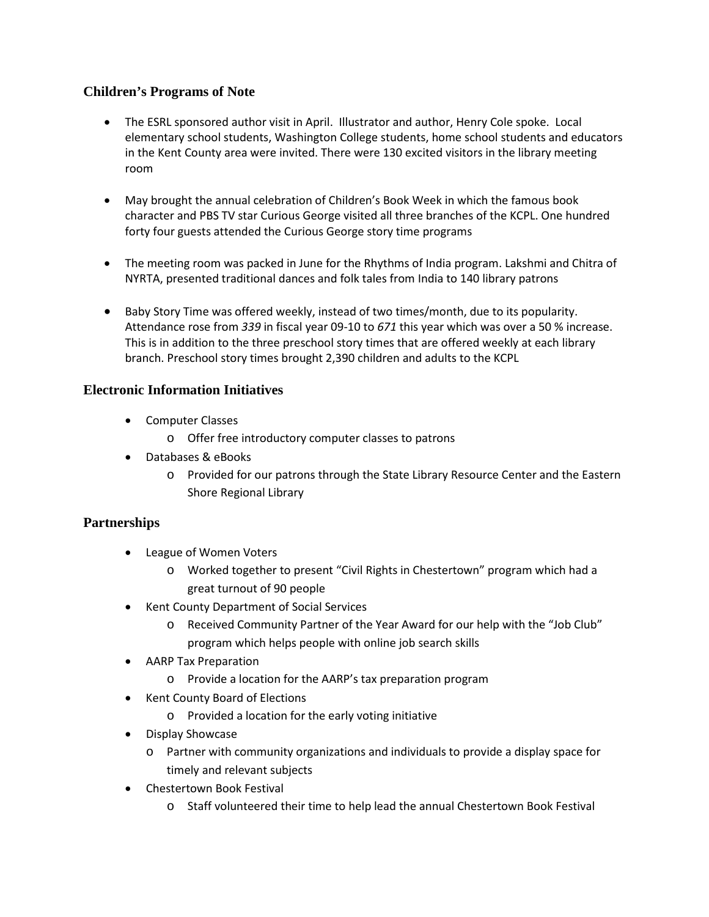# **Children's Programs of Note**

- The ESRL sponsored author visit in April. Illustrator and author, Henry Cole spoke. Local elementary school students, Washington College students, home school students and educators in the Kent County area were invited. There were 130 excited visitors in the library meeting room
- May brought the annual celebration of Children's Book Week in which the famous book character and PBS TV star Curious George visited all three branches of the KCPL. One hundred forty four guests attended the Curious George story time programs
- The meeting room was packed in June for the Rhythms of India program. Lakshmi and Chitra of NYRTA, presented traditional dances and folk tales from India to 140 library patrons
- Baby Story Time was offered weekly, instead of two times/month, due to its popularity. Attendance rose from *339* in fiscal year 09-10 to *671* this year which was over a 50 % increase. This is in addition to the three preschool story times that are offered weekly at each library branch. Preschool story times brought 2,390 children and adults to the KCPL

## **Electronic Information Initiatives**

- Computer Classes
	- o Offer free introductory computer classes to patrons
- Databases & eBooks
	- o Provided for our patrons through the State Library Resource Center and the Eastern Shore Regional Library

# **Partnerships**

- League of Women Voters
	- o Worked together to present "Civil Rights in Chestertown" program which had a great turnout of 90 people
- Kent County Department of Social Services
	- o Received Community Partner of the Year Award for our help with the "Job Club" program which helps people with online job search skills
- AARP Tax Preparation
	- o Provide a location for the AARP's tax preparation program
- Kent County Board of Elections
	- o Provided a location for the early voting initiative
- Display Showcase
	- o Partner with community organizations and individuals to provide a display space for timely and relevant subjects
- Chestertown Book Festival
	- o Staff volunteered their time to help lead the annual Chestertown Book Festival